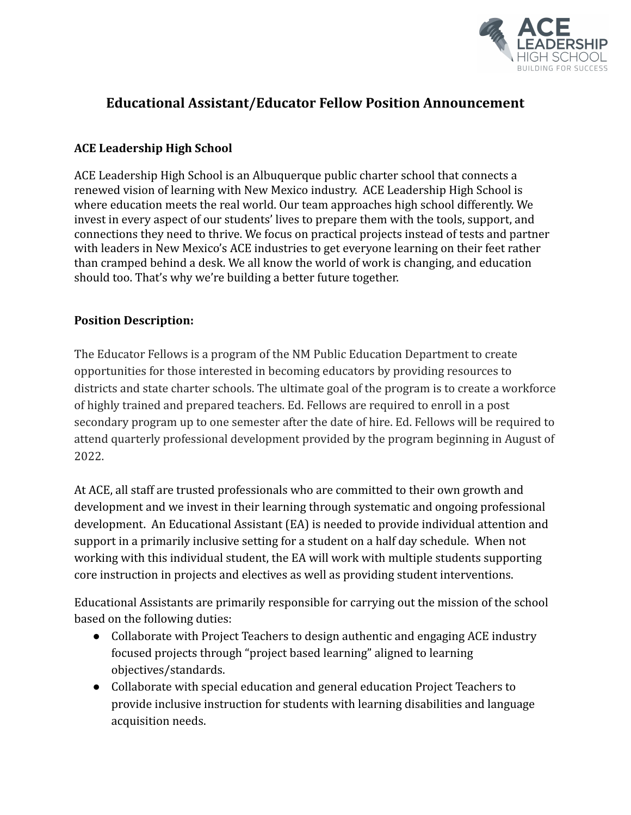

# **Educational Assistant/Educator Fellow Position Announcement**

### **ACE Leadership High School**

ACE Leadership High School is an Albuquerque public charter school that connects a renewed vision of learning with New Mexico industry. ACE Leadership High School is where education meets the real world. Our team approaches high school differently. We invest in every aspect of our students' lives to prepare them with the tools, support, and connections they need to thrive. We focus on practical projects instead of tests and partner with leaders in New Mexico's ACE industries to get everyone learning on their feet rather than cramped behind a desk. We all know the world of work is changing, and education should too. That's why we're building a better future together.

#### **Position Description:**

The Educator Fellows is a program of the NM Public Education Department to create opportunities for those interested in becoming educators by providing resources to districts and state charter schools. The ultimate goal of the program is to create a workforce of highly trained and prepared teachers. Ed. Fellows are required to enroll in a post secondary program up to one semester after the date of hire. Ed. Fellows will be required to attend quarterly professional development provided by the program beginning in August of 2022.

At ACE, all staff are trusted professionals who are committed to their own growth and development and we invest in their learning through systematic and ongoing professional development. An Educational Assistant (EA) is needed to provide individual attention and support in a primarily inclusive setting for a student on a half day schedule. When not working with this individual student, the EA will work with multiple students supporting core instruction in projects and electives as well as providing student interventions.

Educational Assistants are primarily responsible for carrying out the mission of the school based on the following duties:

- Collaborate with Project Teachers to design authentic and engaging ACE industry focused projects through "project based learning" aligned to learning objectives/standards.
- Collaborate with special education and general education Project Teachers to provide inclusive instruction for students with learning disabilities and language acquisition needs.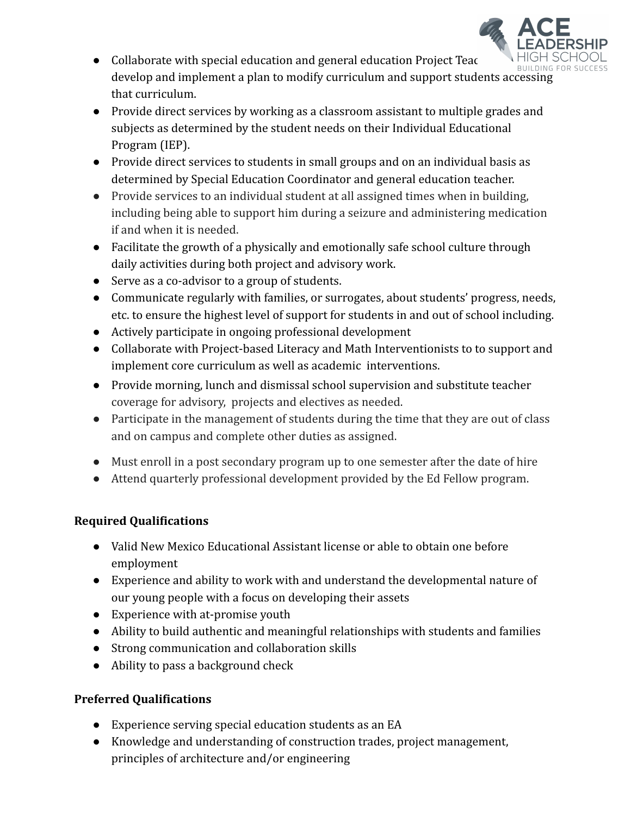

- Collaborate with special education and general education Project Teach develop and implement a plan to modify curriculum and support students accessing that curriculum.
- Provide direct services by working as a classroom assistant to multiple grades and subjects as determined by the student needs on their Individual Educational Program (IEP).
- Provide direct services to students in small groups and on an individual basis as determined by Special Education Coordinator and general education teacher.
- Provide services to an individual student at all assigned times when in building, including being able to support him during a seizure and administering medication if and when it is needed.
- Facilitate the growth of a physically and emotionally safe school culture through daily activities during both project and advisory work.
- Serve as a co-advisor to a group of students.
- Communicate regularly with families, or surrogates, about students' progress, needs, etc. to ensure the highest level of support for students in and out of school including.
- Actively participate in ongoing professional development
- Collaborate with Project-based Literacy and Math Interventionists to to support and implement core curriculum as well as academic interventions.
- Provide morning, lunch and dismissal school supervision and substitute teacher coverage for advisory, projects and electives as needed.
- Participate in the management of students during the time that they are out of class and on campus and complete other duties as assigned.
- Must enroll in a post secondary program up to one semester after the date of hire
- Attend quarterly professional development provided by the Ed Fellow program.

## **Required Qualifications**

- Valid New Mexico Educational Assistant license or able to obtain one before employment
- Experience and ability to work with and understand the developmental nature of our young people with a focus on developing their assets
- Experience with at-promise youth
- Ability to build authentic and meaningful relationships with students and families
- Strong communication and collaboration skills
- Ability to pass a background check

## **Preferred Qualifications**

- Experience serving special education students as an EA
- Knowledge and understanding of construction trades, project management, principles of architecture and/or engineering